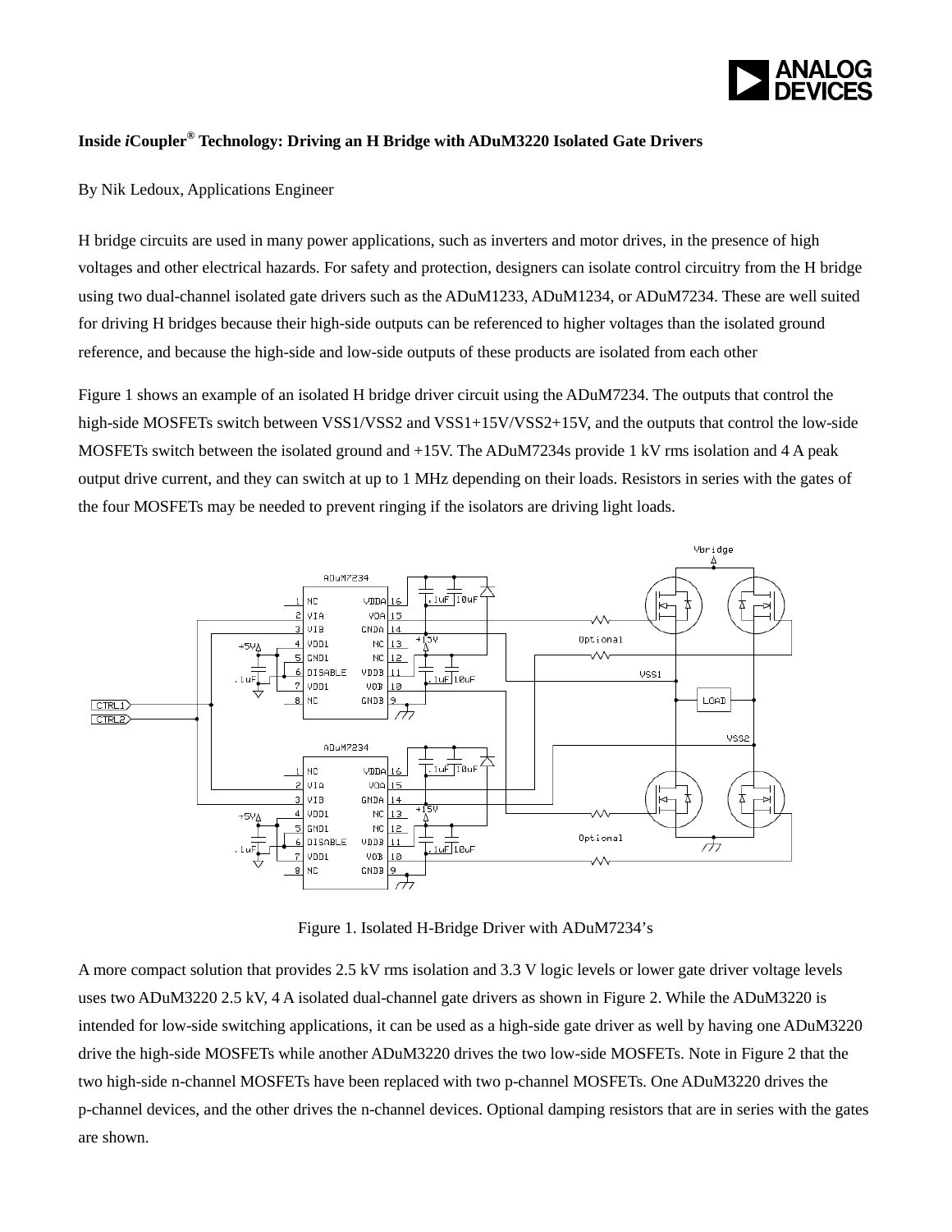

## **Inside** *i***Coupler® Technology: Driving an H Bridge with ADuM3220 Isolated Gate Drivers**

By Nik Ledoux, Applications Engineer

H bridge circuits are used in many power applications, such as inverters and motor drives, in the presence of high voltages and other electrical hazards. For safety and protection, designers can isolate control circuitry from the H bridge using two dual-channel isolated gate drivers such as the ADuM1233, ADuM1234, or ADuM7234. These are well suited for driving H bridges because their high-side outputs can be referenced to higher voltages than the isolated ground reference, and because the high-side and low-side outputs of these products are isolated from each other

Figure 1 shows an example of an isolated H bridge driver circuit using the ADuM7234. The outputs that control the high-side MOSFETs switch between VSS1/VSS2 and VSS1+15V/VSS2+15V, and the outputs that control the low-side MOSFETs switch between the isolated ground and +15V. The ADuM7234s provide 1 kV rms isolation and 4 A peak output drive current, and they can switch at up to 1 MHz depending on their loads. Resistors in series with the gates of the four MOSFETs may be needed to prevent ringing if the isolators are driving light loads.



Figure 1. Isolated H-Bridge Driver with ADuM7234's

A more compact solution that provides 2.5 kV rms isolation and 3.3 V logic levels or lower gate driver voltage levels uses two ADuM3220 2.5 kV, 4 A isolated dual-channel gate drivers as shown in Figure 2. While the ADuM3220 is intended for low-side switching applications, it can be used as a high-side gate driver as well by having one ADuM3220 drive the high-side MOSFETs while another ADuM3220 drives the two low-side MOSFETs. Note in Figure 2 that the two high-side n-channel MOSFETs have been replaced with two p-channel MOSFETs. One ADuM3220 drives the p-channel devices, and the other drives the n-channel devices. Optional damping resistors that are in series with the gates are shown.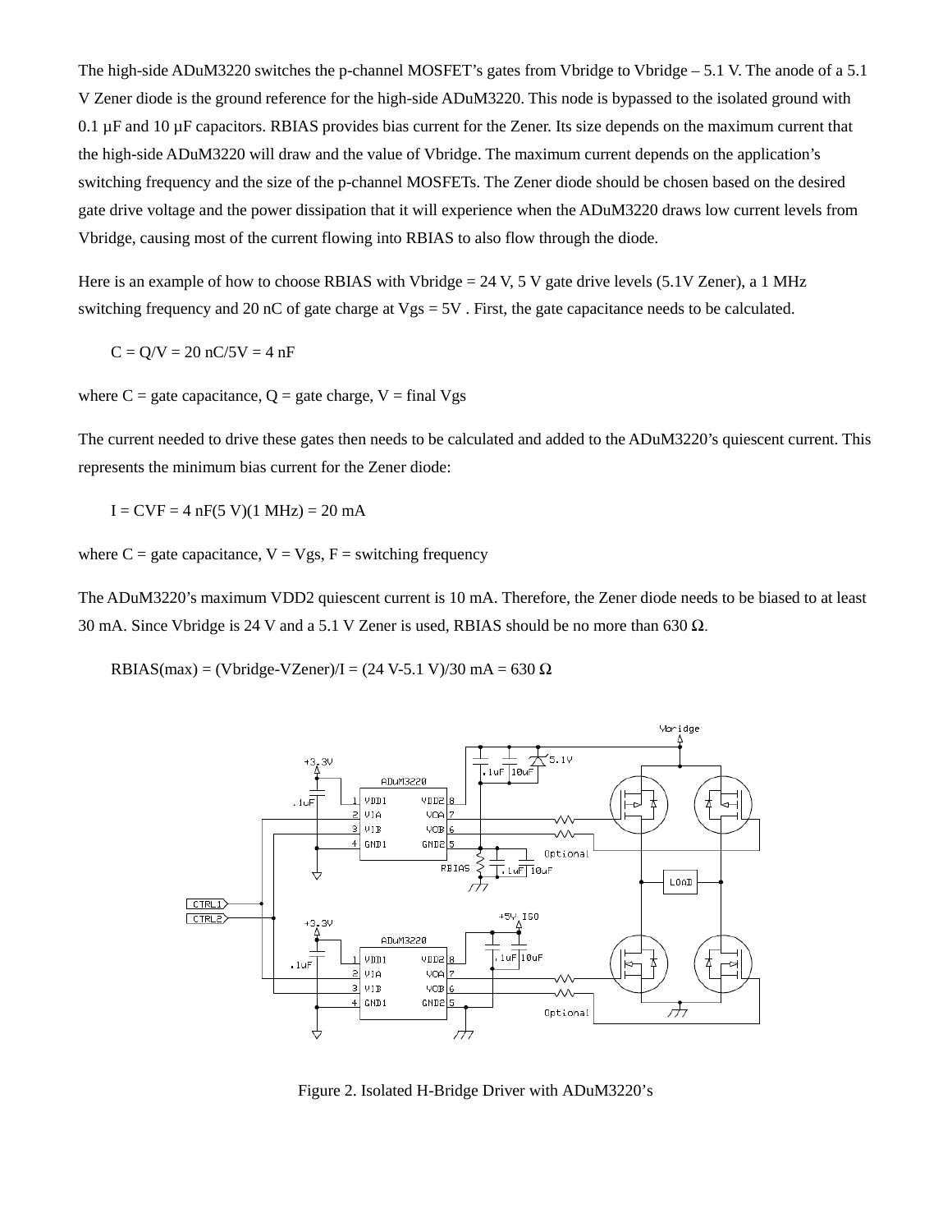The high-side ADuM3220 switches the p-channel MOSFET's gates from Vbridge to Vbridge – 5.1 V. The anode of a 5.1 V Zener diode is the ground reference for the high-side ADuM3220. This node is bypassed to the isolated ground with  $0.1 \,\mu$ F and  $10 \,\mu$ F capacitors. RBIAS provides bias current for the Zener. Its size depends on the maximum current that the high-side ADuM3220 will draw and the value of Vbridge. The maximum current depends on the application's switching frequency and the size of the p-channel MOSFETs. The Zener diode should be chosen based on the desired gate drive voltage and the power dissipation that it will experience when the ADuM3220 draws low current levels from Vbridge, causing most of the current flowing into RBIAS to also flow through the diode.

Here is an example of how to choose RBIAS with Vbridge =  $24$  V, 5 V gate drive levels (5.1V Zener), a 1 MHz switching frequency and 20 nC of gate charge at  $Vgs = 5V$ . First, the gate capacitance needs to be calculated.

$$
C = Q/V = 20 \ nC/5V = 4 \ nF
$$

where  $C =$  gate capacitance,  $Q =$  gate charge,  $V =$  final Vgs

The current needed to drive these gates then needs to be calculated and added to the ADuM3220's quiescent current. This represents the minimum bias current for the Zener diode:

 $I = CVF = 4 nF(5 V)(1 MHz) = 20 mA$ 

where  $C =$  gate capacitance,  $V = Vgs$ ,  $F =$  switching frequency

The ADuM3220's maximum VDD2 quiescent current is 10 mA. Therefore, the Zener diode needs to be biased to at least 30 mA. Since Vbridge is 24 V and a 5.1 V Zener is used, RBIAS should be no more than 630  $\Omega$ .

RBIAS(max) = (Vbridge-VZener)/I =  $(24 \text{ V-}5.1 \text{ V})/30 \text{ mA} = 630 \Omega$ 



Figure 2. Isolated H-Bridge Driver with ADuM3220's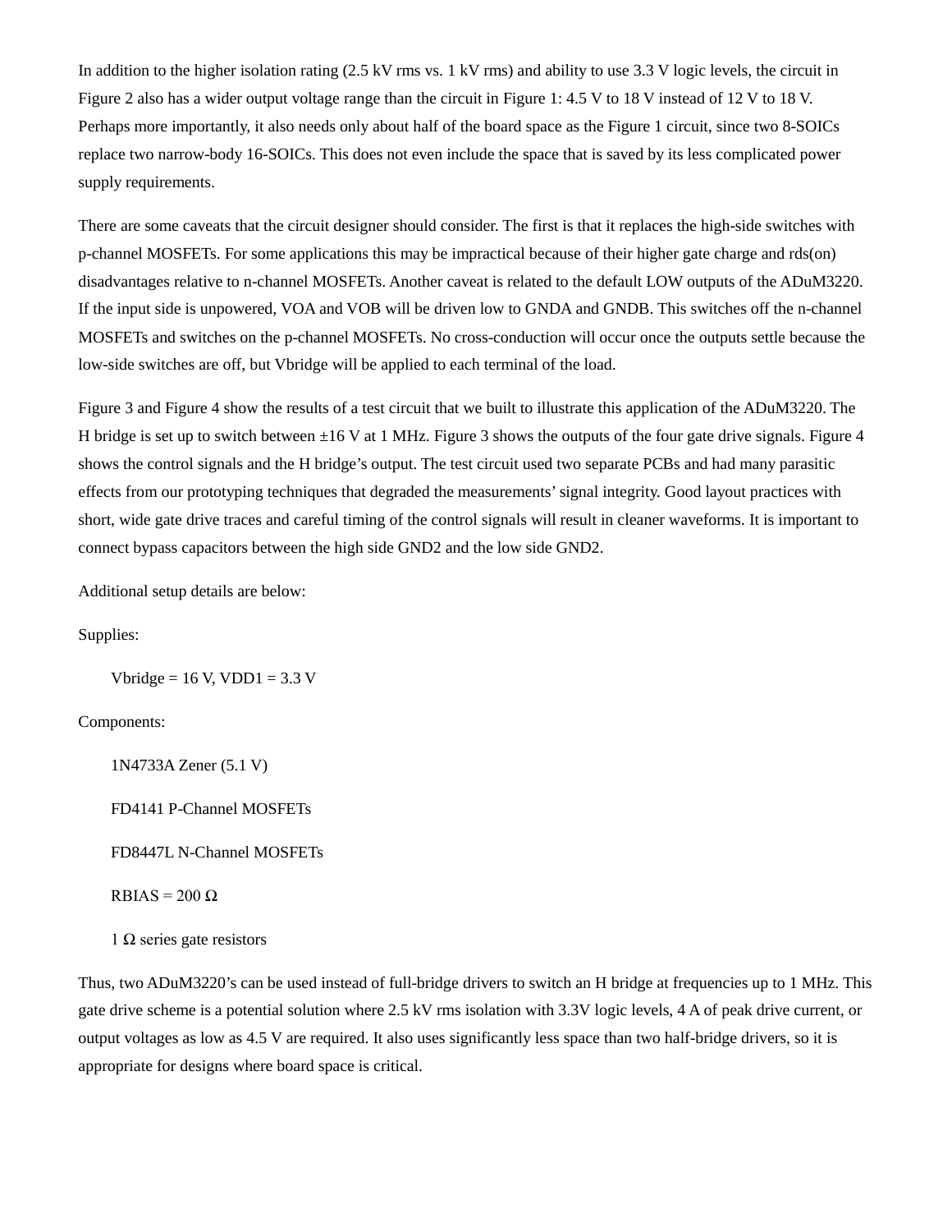In addition to the higher isolation rating (2.5 kV rms vs. 1 kV rms) and ability to use 3.3 V logic levels, the circuit in Figure 2 also has a wider output voltage range than the circuit in Figure 1: 4.5 V to 18 V instead of 12 V to 18 V. Perhaps more importantly, it also needs only about half of the board space as the Figure 1 circuit, since two 8-SOICs replace two narrow-body 16-SOICs. This does not even include the space that is saved by its less complicated power supply requirements.

There are some caveats that the circuit designer should consider. The first is that it replaces the high-side switches with p-channel MOSFETs. For some applications this may be impractical because of their higher gate charge and rds(on) disadvantages relative to n-channel MOSFETs. Another caveat is related to the default LOW outputs of the ADuM3220. If the input side is unpowered, VOA and VOB will be driven low to GNDA and GNDB. This switches off the n-channel MOSFETs and switches on the p-channel MOSFETs. No cross-conduction will occur once the outputs settle because the low-side switches are off, but Vbridge will be applied to each terminal of the load.

Figure 3 and Figure 4 show the results of a test circuit that we built to illustrate this application of the ADuM3220. The H bridge is set up to switch between  $\pm 16$  V at 1 MHz. Figure 3 shows the outputs of the four gate drive signals. Figure 4 shows the control signals and the H bridge's output. The test circuit used two separate PCBs and had many parasitic effects from our prototyping techniques that degraded the measurements' signal integrity. Good layout practices with short, wide gate drive traces and careful timing of the control signals will result in cleaner waveforms. It is important to connect bypass capacitors between the high side GND2 and the low side GND2.

Additional setup details are below:

Supplies:

Vbridge =  $16$  V, VDD $1 = 3.3$  V

Components:

1N4733A Zener (5.1 V) FD4141 P-Channel MOSFETs FD8447L N-Channel MOSFETs  $RBIAS = 200 \Omega$ 

 $1 Ω$  series gate resistors

Thus, two ADuM3220's can be used instead of full-bridge drivers to switch an H bridge at frequencies up to 1 MHz. This gate drive scheme is a potential solution where 2.5 kV rms isolation with 3.3V logic levels, 4 A of peak drive current, or output voltages as low as 4.5 V are required. It also uses significantly less space than two half-bridge drivers, so it is appropriate for designs where board space is critical.